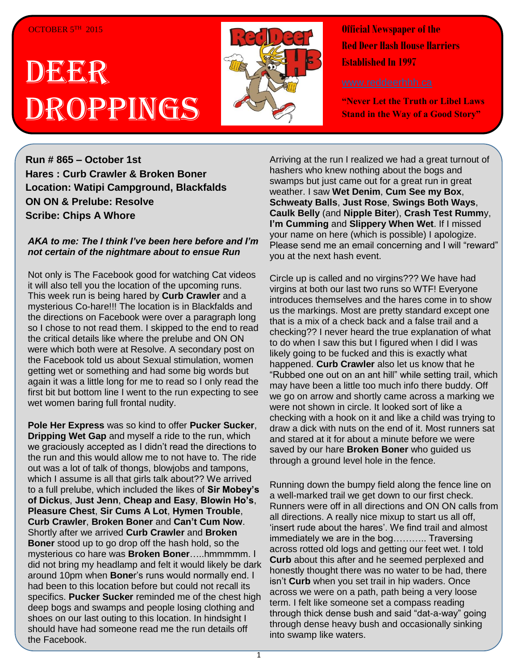#### OCTOBER 5TH 2015

# **DEER** Droppings



**Official Newspaper of the Red Deer Hash House Harriers Established In 1997** 

**"Never Let the Truth or Libel Laws Stand in the Way of a Good Story"**

**Run # 865 – October 1st Hares : Curb Crawler & Broken Boner Location: Watipi Campground, Blackfalds ON ON & Prelube: Resolve Scribe: Chips A Whore**

#### *AKA to me: The I think I've been here before and I'm not certain of the nightmare about to ensue Run*

Not only is The Facebook good for watching Cat videos it will also tell you the location of the upcoming runs. This week run is being hared by **Curb Crawler** and a mysterious Co-hare!!! The location is in Blackfalds and the directions on Facebook were over a paragraph long so I chose to not read them. I skipped to the end to read the critical details like where the prelube and ON ON were which both were at Resolve. A secondary post on the Facebook told us about Sexual stimulation, women getting wet or something and had some big words but again it was a little long for me to read so I only read the first bit but bottom line I went to the run expecting to see wet women baring full frontal nudity.

**Pole Her Express** was so kind to offer **Pucker Sucker**, **Dripping Wet Gap** and myself a ride to the run, which we graciously accepted as I didn't read the directions to the run and this would allow me to not have to. The ride out was a lot of talk of thongs, blowjobs and tampons, which I assume is all that girls talk about?? We arrived to a full prelube, which included the likes of **Sir Mobey's of Dickus**, **Just Jenn**, **Cheap and Easy**, **Blowin Ho's**, **Pleasure Chest**, **Sir Cums A Lot**, **Hymen Trouble**, **Curb Crawler**, **Broken Boner** and **Can't Cum Now**. Shortly after we arrived **Curb Crawler** and **Broken Boner** stood up to go drop off the hash hold, so the mysterious co hare was **Broken Boner**…..hmmmmm. I did not bring my headlamp and felt it would likely be dark around 10pm when **Bone**r's runs would normally end. I had been to this location before but could not recall its specifics. **Pucker Sucker** reminded me of the chest high deep bogs and swamps and people losing clothing and shoes on our last outing to this location. In hindsight I should have had someone read me the run details off the Facebook.

Arriving at the run I realized we had a great turnout of hashers who knew nothing about the bogs and swamps but just came out for a great run in great weather. I saw **Wet Denim**, **Cum See my Box**, **Schweaty Balls**, **Just Rose**, **Swings Both Ways**, **Caulk Belly** (and **Nipple Biter**), **Crash Test Rumm**y, **I'm Cumming** and **Slippery When Wet**. If I missed your name on here (which is possible) I apologize. Please send me an email concerning and I will "reward" you at the next hash event.

Circle up is called and no virgins??? We have had virgins at both our last two runs so WTF! Everyone introduces themselves and the hares come in to show us the markings. Most are pretty standard except one that is a mix of a check back and a false trail and a checking?? I never heard the true explanation of what to do when I saw this but I figured when I did I was likely going to be fucked and this is exactly what happened. **Curb Crawler** also let us know that he "Rubbed one out on an ant hill" while setting trail, which may have been a little too much info there buddy. Off we go on arrow and shortly came across a marking we were not shown in circle. It looked sort of like a checking with a hook on it and like a child was trying to draw a dick with nuts on the end of it. Most runners sat and stared at it for about a minute before we were saved by our hare **Broken Boner** who guided us through a ground level hole in the fence.

Running down the bumpy field along the fence line on a well-marked trail we get down to our first check. Runners were off in all directions and ON ON calls from all directions. A really nice mixup to start us all off, 'insert rude about the hares'. We find trail and almost immediately we are in the bog……….. Traversing across rotted old logs and getting our feet wet. I told **Curb** about this after and he seemed perplexed and honestly thought there was no water to be had, there isn't **Curb** when you set trail in hip waders. Once across we were on a path, path being a very loose term. I felt like someone set a compass reading through thick dense bush and said "dat-a-way" going through dense heavy bush and occasionally sinking into swamp like waters.